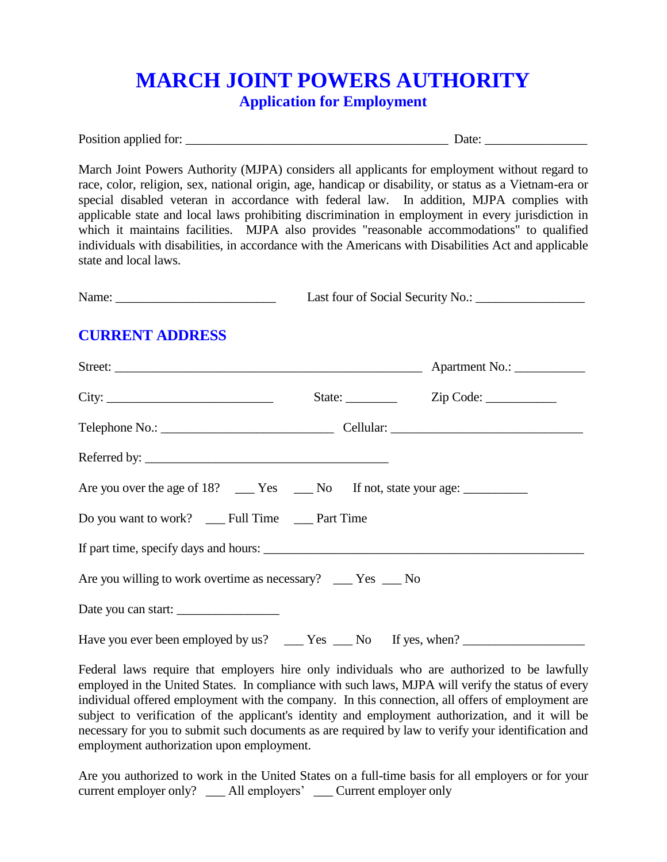## **MARCH JOINT POWERS AUTHORITY Application for Employment**

Position applied for: \_\_\_\_\_\_\_\_\_\_\_\_\_\_\_\_\_\_\_\_\_\_\_\_\_\_\_\_\_\_\_\_\_\_\_\_\_\_\_\_\_ Date: \_\_\_\_\_\_\_\_\_\_\_\_\_\_\_\_

March Joint Powers Authority (MJPA) considers all applicants for employment without regard to race, color, religion, sex, national origin, age, handicap or disability, or status as a Vietnam-era or special disabled veteran in accordance with federal law. In addition, MJPA complies with applicable state and local laws prohibiting discrimination in employment in every jurisdiction in which it maintains facilities. MJPA also provides "reasonable accommodations" to qualified individuals with disabilities, in accordance with the Americans with Disabilities Act and applicable state and local laws.

| Last four of Social Security No.:<br>Name: |
|--------------------------------------------|
|--------------------------------------------|

### **CURRENT ADDRESS**

| Street:                                                                           |                         |
|-----------------------------------------------------------------------------------|-------------------------|
|                                                                                   | State: <u>Zip Code:</u> |
|                                                                                   |                         |
|                                                                                   |                         |
|                                                                                   |                         |
| Do you want to work? __ Full Time __ Part Time                                    |                         |
|                                                                                   |                         |
| Are you willing to work overtime as necessary? ___ Yes __ No                      |                         |
| Date you can start:                                                               |                         |
| Have you ever been employed by us? _____ Yes ____ No If yes, when? ______________ |                         |

Federal laws require that employers hire only individuals who are authorized to be lawfully employed in the United States. In compliance with such laws, MJPA will verify the status of every individual offered employment with the company. In this connection, all offers of employment are subject to verification of the applicant's identity and employment authorization, and it will be necessary for you to submit such documents as are required by law to verify your identification and employment authorization upon employment.

Are you authorized to work in the United States on a full-time basis for all employers or for your current employer only? All employers' Current employer only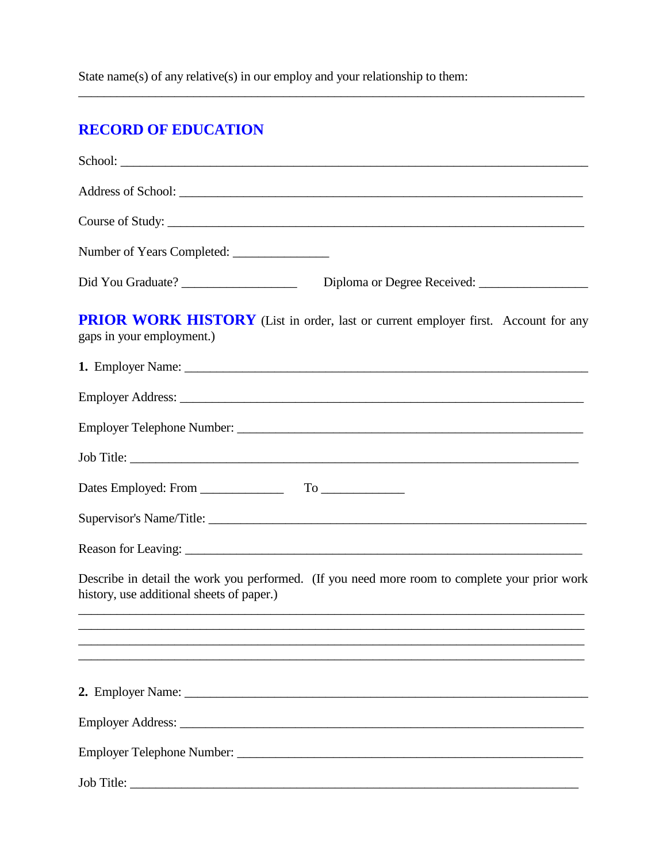State name(s) of any relative(s) in our employ and your relationship to them:

# **RECORD OF EDUCATION**

| School:                                                                                                                                                                                                   |
|-----------------------------------------------------------------------------------------------------------------------------------------------------------------------------------------------------------|
|                                                                                                                                                                                                           |
| Course of Study:                                                                                                                                                                                          |
|                                                                                                                                                                                                           |
|                                                                                                                                                                                                           |
| PRIOR WORK HISTORY (List in order, last or current employer first. Account for any<br>gaps in your employment.)                                                                                           |
|                                                                                                                                                                                                           |
|                                                                                                                                                                                                           |
|                                                                                                                                                                                                           |
|                                                                                                                                                                                                           |
| Dates Employed: From To                                                                                                                                                                                   |
|                                                                                                                                                                                                           |
|                                                                                                                                                                                                           |
| Describe in detail the work you performed. (If you need more room to complete your prior work<br>history, use additional sheets of paper.)<br><u> 1989 - Johann Stoff, amerikansk politiker (d. 1989)</u> |
|                                                                                                                                                                                                           |
|                                                                                                                                                                                                           |
|                                                                                                                                                                                                           |
|                                                                                                                                                                                                           |
|                                                                                                                                                                                                           |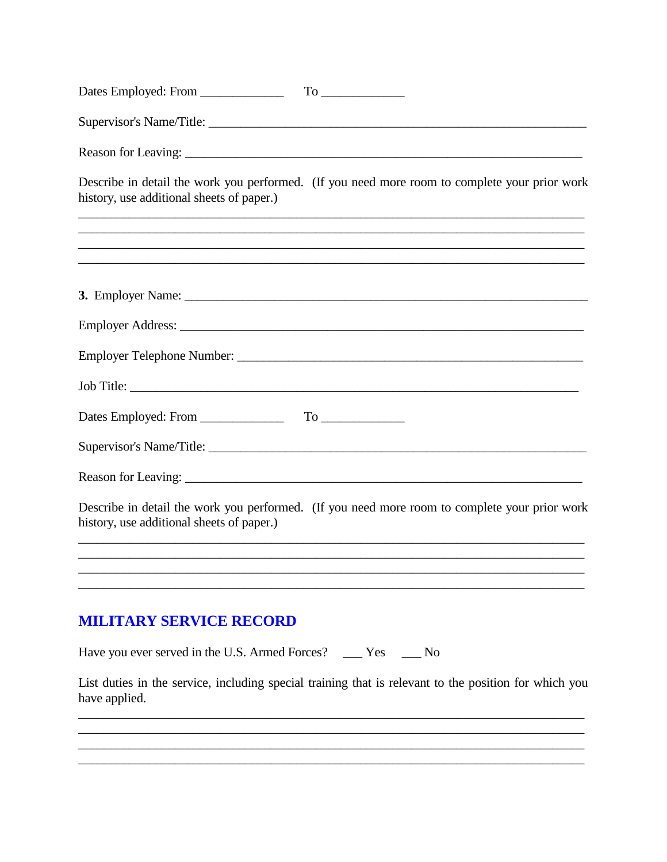| Describe in detail the work you performed. (If you need more room to complete your prior work         |
|-------------------------------------------------------------------------------------------------------|
|                                                                                                       |
|                                                                                                       |
|                                                                                                       |
|                                                                                                       |
|                                                                                                       |
| Supervisor's Name/Title:                                                                              |
|                                                                                                       |
| Describe in detail the work you performed. (If you need more room to complete your prior work         |
|                                                                                                       |
|                                                                                                       |
|                                                                                                       |
| List duties in the service, including special training that is relevant to the position for which you |
|                                                                                                       |
|                                                                                                       |
|                                                                                                       |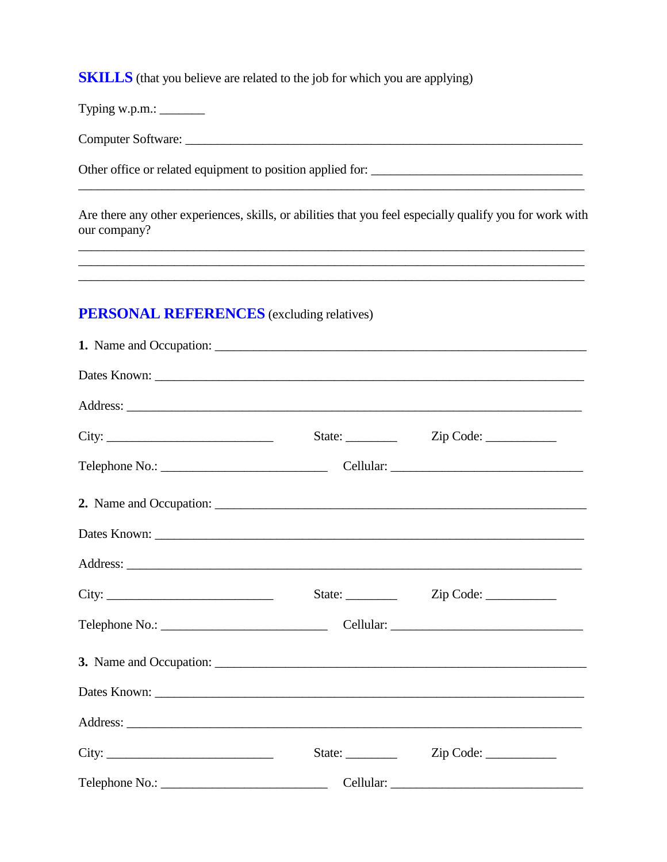**SKILLS** (that you believe are related to the job for which you are applying)

Typing w.p.m.: \_\_\_\_\_\_\_

Other office or related equipment to position applied for:

Are there any other experiences, skills, or abilities that you feel especially qualify you for work with our company?

<u> 1989 - Johann Stoff, amerikansk politiker (\* 1908)</u>

<u> 1989 - Andrea Barbara, amerikana amerikana amerikana amerikana amerikana amerikana amerikana amerikana amerik</u>

### **PERSONAL REFERENCES** (excluding relatives)

| City: | State: $\_\_$          | Zip Code: |  |
|-------|------------------------|-----------|--|
|       |                        |           |  |
|       |                        |           |  |
|       |                        |           |  |
|       |                        |           |  |
|       |                        |           |  |
|       |                        |           |  |
|       |                        |           |  |
|       |                        |           |  |
|       |                        |           |  |
|       | State: $\frac{\ }{\ }$ | Zip Code: |  |
|       |                        |           |  |